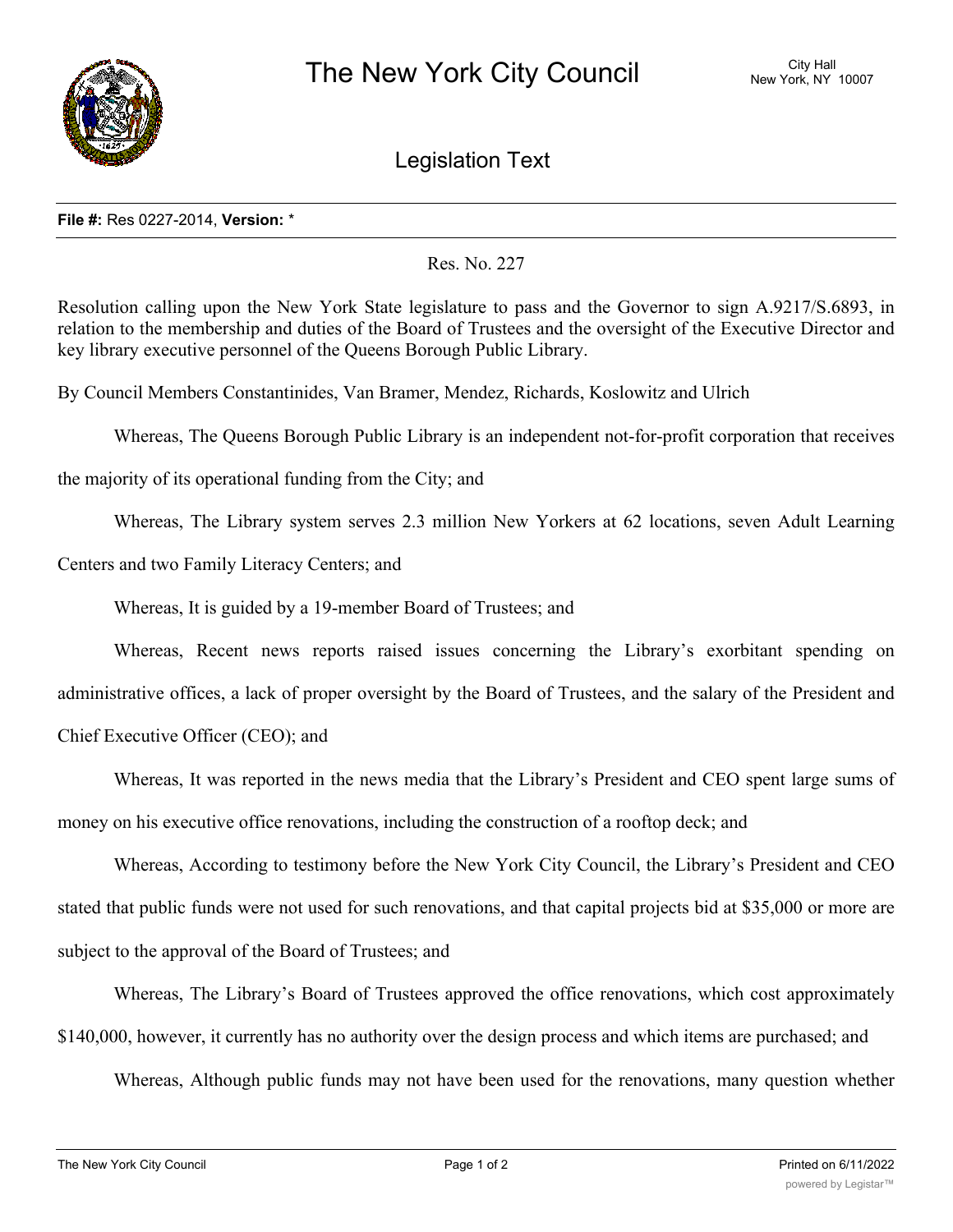

Legislation Text

## **File #:** Res 0227-2014, **Version:** \*

Res. No. 227

Resolution calling upon the New York State legislature to pass and the Governor to sign A.9217/S.6893, in relation to the membership and duties of the Board of Trustees and the oversight of the Executive Director and key library executive personnel of the Queens Borough Public Library.

By Council Members Constantinides, Van Bramer, Mendez, Richards, Koslowitz and Ulrich

Whereas, The Queens Borough Public Library is an independent not-for-profit corporation that receives

the majority of its operational funding from the City; and

Whereas, The Library system serves 2.3 million New Yorkers at 62 locations, seven Adult Learning

Centers and two Family Literacy Centers; and

Whereas, It is guided by a 19-member Board of Trustees; and

Whereas, Recent news reports raised issues concerning the Library's exorbitant spending on administrative offices, a lack of proper oversight by the Board of Trustees, and the salary of the President and Chief Executive Officer (CEO); and

Whereas, It was reported in the news media that the Library's President and CEO spent large sums of money on his executive office renovations, including the construction of a rooftop deck; and

Whereas, According to testimony before the New York City Council, the Library's President and CEO stated that public funds were not used for such renovations, and that capital projects bid at \$35,000 or more are subject to the approval of the Board of Trustees; and

Whereas, The Library's Board of Trustees approved the office renovations, which cost approximately \$140,000, however, it currently has no authority over the design process and which items are purchased; and

Whereas, Although public funds may not have been used for the renovations, many question whether